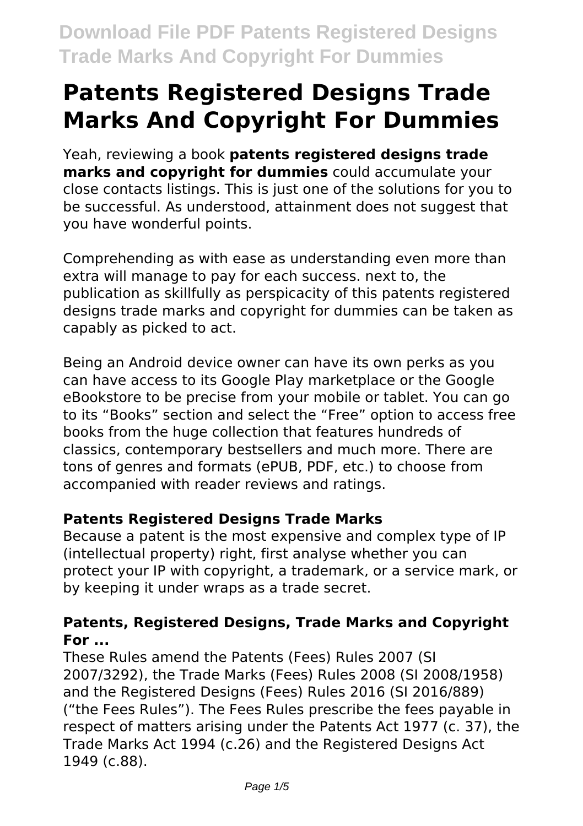# **Patents Registered Designs Trade Marks And Copyright For Dummies**

Yeah, reviewing a book **patents registered designs trade marks and copyright for dummies** could accumulate your close contacts listings. This is just one of the solutions for you to be successful. As understood, attainment does not suggest that you have wonderful points.

Comprehending as with ease as understanding even more than extra will manage to pay for each success. next to, the publication as skillfully as perspicacity of this patents registered designs trade marks and copyright for dummies can be taken as capably as picked to act.

Being an Android device owner can have its own perks as you can have access to its Google Play marketplace or the Google eBookstore to be precise from your mobile or tablet. You can go to its "Books" section and select the "Free" option to access free books from the huge collection that features hundreds of classics, contemporary bestsellers and much more. There are tons of genres and formats (ePUB, PDF, etc.) to choose from accompanied with reader reviews and ratings.

# **Patents Registered Designs Trade Marks**

Because a patent is the most expensive and complex type of IP (intellectual property) right, first analyse whether you can protect your IP with copyright, a trademark, or a service mark, or by keeping it under wraps as a trade secret.

# **Patents, Registered Designs, Trade Marks and Copyright For ...**

These Rules amend the Patents (Fees) Rules 2007 (SI 2007/3292), the Trade Marks (Fees) Rules 2008 (SI 2008/1958) and the Registered Designs (Fees) Rules 2016 (SI 2016/889) ("the Fees Rules"). The Fees Rules prescribe the fees payable in respect of matters arising under the Patents Act 1977 (c. 37), the Trade Marks Act 1994 (c.26) and the Registered Designs Act 1949 (c.88).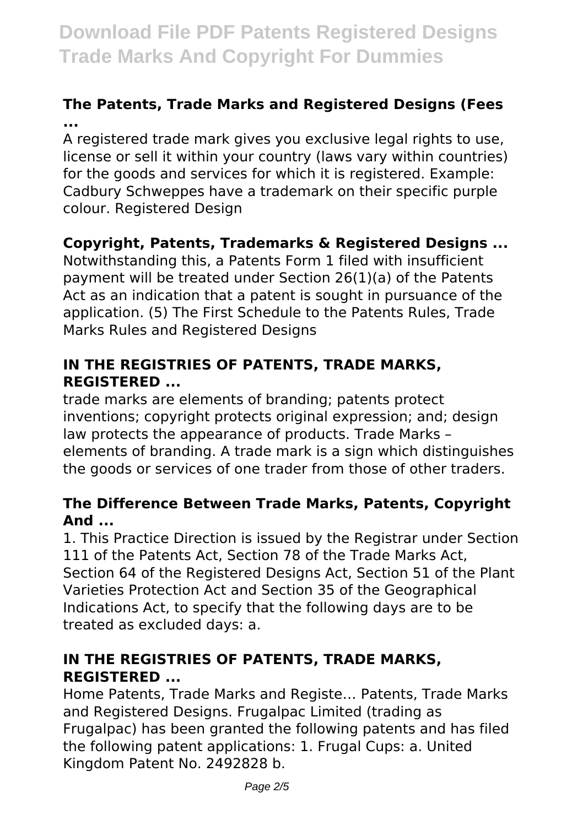# **The Patents, Trade Marks and Registered Designs (Fees ...**

A registered trade mark gives you exclusive legal rights to use, license or sell it within your country (laws vary within countries) for the goods and services for which it is registered. Example: Cadbury Schweppes have a trademark on their specific purple colour. Registered Design

# **Copyright, Patents, Trademarks & Registered Designs ...**

Notwithstanding this, a Patents Form 1 filed with insufficient payment will be treated under Section 26(1)(a) of the Patents Act as an indication that a patent is sought in pursuance of the application. (5) The First Schedule to the Patents Rules, Trade Marks Rules and Registered Designs

### **IN THE REGISTRIES OF PATENTS, TRADE MARKS, REGISTERED ...**

trade marks are elements of branding; patents protect inventions; copyright protects original expression; and; design law protects the appearance of products. Trade Marks – elements of branding. A trade mark is a sign which distinguishes the goods or services of one trader from those of other traders.

#### **The Difference Between Trade Marks, Patents, Copyright And ...**

1. This Practice Direction is issued by the Registrar under Section 111 of the Patents Act, Section 78 of the Trade Marks Act, Section 64 of the Registered Designs Act, Section 51 of the Plant Varieties Protection Act and Section 35 of the Geographical Indications Act, to specify that the following days are to be treated as excluded days: a.

#### **IN THE REGISTRIES OF PATENTS, TRADE MARKS, REGISTERED ...**

Home Patents, Trade Marks and Registe… Patents, Trade Marks and Registered Designs. Frugalpac Limited (trading as Frugalpac) has been granted the following patents and has filed the following patent applications: 1. Frugal Cups: a. United Kingdom Patent No. 2492828 b.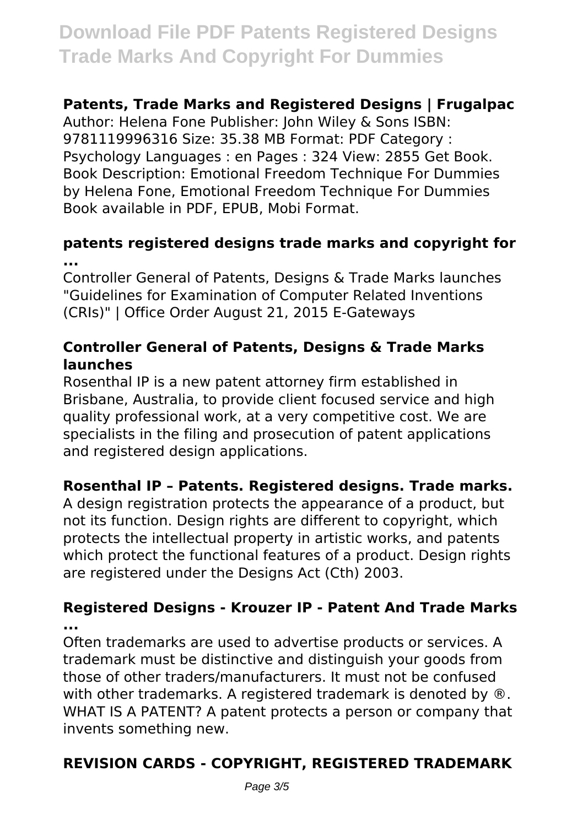# **Patents, Trade Marks and Registered Designs | Frugalpac**

Author: Helena Fone Publisher: John Wiley & Sons ISBN: 9781119996316 Size: 35.38 MB Format: PDF Category : Psychology Languages : en Pages : 324 View: 2855 Get Book. Book Description: Emotional Freedom Technique For Dummies by Helena Fone, Emotional Freedom Technique For Dummies Book available in PDF, EPUB, Mobi Format.

### **patents registered designs trade marks and copyright for ...**

Controller General of Patents, Designs & Trade Marks launches "Guidelines for Examination of Computer Related Inventions (CRIs)" | Office Order August 21, 2015 E-Gateways

#### **Controller General of Patents, Designs & Trade Marks launches**

Rosenthal IP is a new patent attorney firm established in Brisbane, Australia, to provide client focused service and high quality professional work, at a very competitive cost. We are specialists in the filing and prosecution of patent applications and registered design applications.

# **Rosenthal IP – Patents. Registered designs. Trade marks.**

A design registration protects the appearance of a product, but not its function. Design rights are different to copyright, which protects the intellectual property in artistic works, and patents which protect the functional features of a product. Design rights are registered under the Designs Act (Cth) 2003.

#### **Registered Designs - Krouzer IP - Patent And Trade Marks ...**

Often trademarks are used to advertise products or services. A trademark must be distinctive and distinguish your goods from those of other traders/manufacturers. It must not be confused with other trademarks. A registered trademark is denoted by  $\omega$ . WHAT IS A PATENT? A patent protects a person or company that invents something new.

# **REVISION CARDS - COPYRIGHT, REGISTERED TRADEMARK**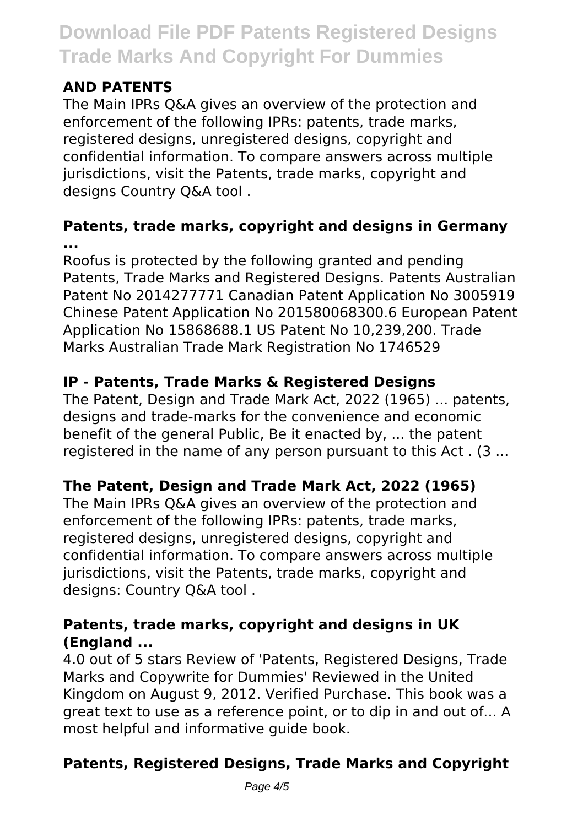# **AND PATENTS**

The Main IPRs Q&A gives an overview of the protection and enforcement of the following IPRs: patents, trade marks, registered designs, unregistered designs, copyright and confidential information. To compare answers across multiple jurisdictions, visit the Patents, trade marks, copyright and designs Country Q&A tool .

### **Patents, trade marks, copyright and designs in Germany ...**

Roofus is protected by the following granted and pending Patents, Trade Marks and Registered Designs. Patents Australian Patent No 2014277771 Canadian Patent Application No 3005919 Chinese Patent Application No 201580068300.6 European Patent Application No 15868688.1 US Patent No 10,239,200. Trade Marks Australian Trade Mark Registration No 1746529

# **IP - Patents, Trade Marks & Registered Designs**

The Patent, Design and Trade Mark Act, 2022 (1965) ... patents, designs and trade-marks for the convenience and economic benefit of the general Public, Be it enacted by, ... the patent registered in the name of any person pursuant to this Act . (3 ...

# **The Patent, Design and Trade Mark Act, 2022 (1965)**

The Main IPRs Q&A gives an overview of the protection and enforcement of the following IPRs: patents, trade marks, registered designs, unregistered designs, copyright and confidential information. To compare answers across multiple jurisdictions, visit the Patents, trade marks, copyright and designs: Country Q&A tool .

# **Patents, trade marks, copyright and designs in UK (England ...**

4.0 out of 5 stars Review of 'Patents, Registered Designs, Trade Marks and Copywrite for Dummies' Reviewed in the United Kingdom on August 9, 2012. Verified Purchase. This book was a great text to use as a reference point, or to dip in and out of... A most helpful and informative guide book.

# **Patents, Registered Designs, Trade Marks and Copyright**